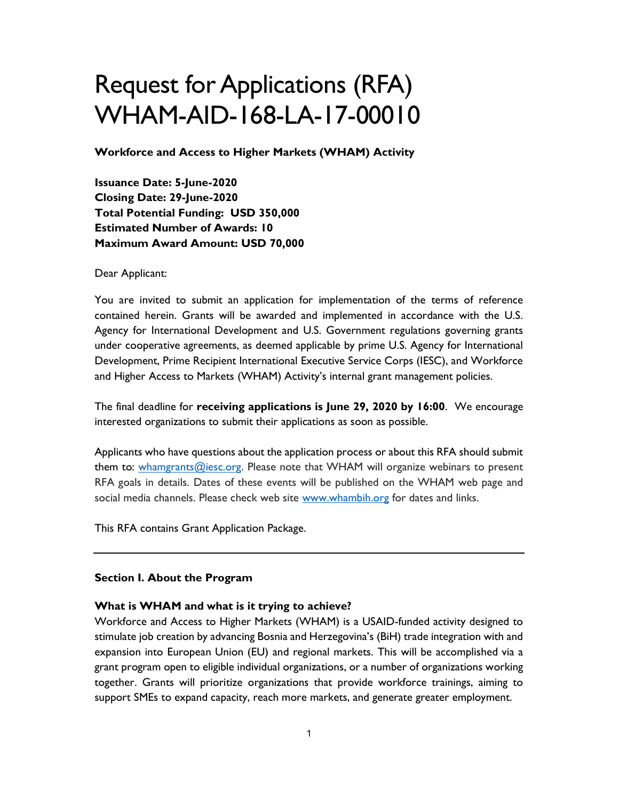# Request for Applications (RFA) WHAM-AID-168-LA-17-00010

Workforce and Access to Higher Markets (WHAM) Activity

Issuance Date: 5-June-2020 Closing Date: 29-June-2020 Total Potential Funding: USD 350,000 Estimated Number of Awards: 10 Maximum Award Amount: USD 70,000

Dear Applicant:

You are invited to submit an application for implementation of the terms of reference contained herein. Grants will be awarded and implemented in accordance with the U.S. Agency for International Development and U.S. Government regulations governing grants under cooperative agreements, as deemed applicable by prime U.S. Agency for International Development, Prime Recipient International Executive Service Corps (IESC), and Workforce and Higher Access to Markets (WHAM) Activity's internal grant management policies.

The final deadline for receiving applications is June 29, 2020 by 16:00. We encourage interested organizations to submit their applications as soon as possible.

Applicants who have questions about the application process or about this RFA should submit them to:  $whamgrams@iesc.org$ . Please note that WHAM will organize webinars to present RFA goals in details. Dates of these events will be published on the WHAM web page and social media channels. Please check web site www.whambih.org for dates and links.

This RFA contains Grant Application Package.

#### Section I. About the Program

#### What is WHAM and what is it trying to achieve?

Workforce and Access to Higher Markets (WHAM) is a USAID-funded activity designed to stimulate job creation by advancing Bosnia and Herzegovina's (BiH) trade integration with and expansion into European Union (EU) and regional markets. This will be accomplished via a grant program open to eligible individual organizations, or a number of organizations working together. Grants will prioritize organizations that provide workforce trainings, aiming to support SMEs to expand capacity, reach more markets, and generate greater employment.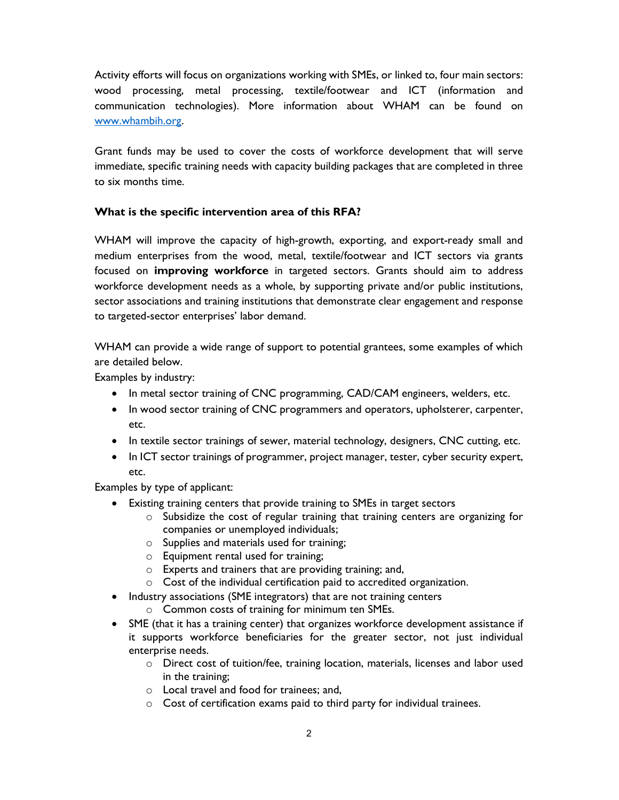Activity efforts will focus on organizations working with SMEs, or linked to, four main sectors: wood processing, metal processing, textile/footwear and ICT (information and communication technologies). More information about WHAM can be found on www.whambih.org.

Grant funds may be used to cover the costs of workforce development that will serve immediate, specific training needs with capacity building packages that are completed in three to six months time.

## What is the specific intervention area of this RFA?

WHAM will improve the capacity of high-growth, exporting, and export-ready small and medium enterprises from the wood, metal, textile/footwear and ICT sectors via grants focused on improving workforce in targeted sectors. Grants should aim to address workforce development needs as a whole, by supporting private and/or public institutions, sector associations and training institutions that demonstrate clear engagement and response to targeted-sector enterprises' labor demand.

WHAM can provide a wide range of support to potential grantees, some examples of which are detailed below.

Examples by industry:

- In metal sector training of CNC programming, CAD/CAM engineers, welders, etc.
- In wood sector training of CNC programmers and operators, upholsterer, carpenter, etc.
- In textile sector trainings of sewer, material technology, designers, CNC cutting, etc.
- In ICT sector trainings of programmer, project manager, tester, cyber security expert, etc.

Examples by type of applicant:

- Existing training centers that provide training to SMEs in target sectors
	- o Subsidize the cost of regular training that training centers are organizing for companies or unemployed individuals;
	- o Supplies and materials used for training;
	- o Equipment rental used for training;
	- o Experts and trainers that are providing training; and,
	- o Cost of the individual certification paid to accredited organization.
- Industry associations (SME integrators) that are not training centers
	- o Common costs of training for minimum ten SMEs.
- SME (that it has a training center) that organizes workforce development assistance if it supports workforce beneficiaries for the greater sector, not just individual enterprise needs.
	- o Direct cost of tuition/fee, training location, materials, licenses and labor used in the training;
	- o Local travel and food for trainees; and,
	- o Cost of certification exams paid to third party for individual trainees.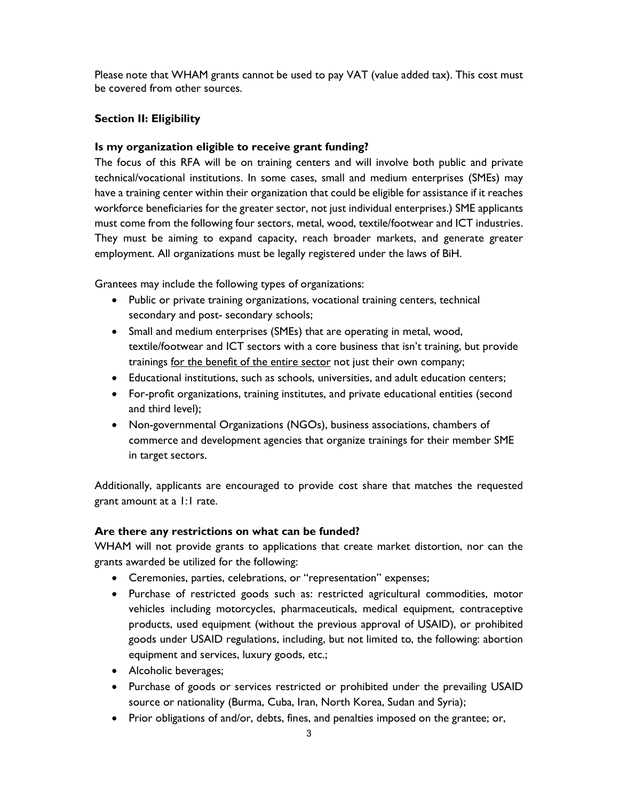Please note that WHAM grants cannot be used to pay VAT (value added tax). This cost must be covered from other sources.

## Section II: Eligibility

### Is my organization eligible to receive grant funding?

The focus of this RFA will be on training centers and will involve both public and private technical/vocational institutions. In some cases, small and medium enterprises (SMEs) may have a training center within their organization that could be eligible for assistance if it reaches workforce beneficiaries for the greater sector, not just individual enterprises.) SME applicants must come from the following four sectors, metal, wood, textile/footwear and ICT industries. They must be aiming to expand capacity, reach broader markets, and generate greater employment. All organizations must be legally registered under the laws of BiH.

Grantees may include the following types of organizations:

- Public or private training organizations, vocational training centers, technical secondary and post- secondary schools;
- Small and medium enterprises (SMEs) that are operating in metal, wood, textile/footwear and ICT sectors with a core business that isn't training, but provide trainings for the benefit of the entire sector not just their own company;
- Educational institutions, such as schools, universities, and adult education centers;
- For-profit organizations, training institutes, and private educational entities (second and third level);
- Non-governmental Organizations (NGOs), business associations, chambers of commerce and development agencies that organize trainings for their member SME in target sectors.

Additionally, applicants are encouraged to provide cost share that matches the requested grant amount at a 1:1 rate.

## Are there any restrictions on what can be funded?

WHAM will not provide grants to applications that create market distortion, nor can the grants awarded be utilized for the following:

- Ceremonies, parties, celebrations, or "representation" expenses;
- Purchase of restricted goods such as: restricted agricultural commodities, motor vehicles including motorcycles, pharmaceuticals, medical equipment, contraceptive products, used equipment (without the previous approval of USAID), or prohibited goods under USAID regulations, including, but not limited to, the following: abortion equipment and services, luxury goods, etc.;
- Alcoholic beverages;
- Purchase of goods or services restricted or prohibited under the prevailing USAID source or nationality (Burma, Cuba, Iran, North Korea, Sudan and Syria);
- Prior obligations of and/or, debts, fines, and penalties imposed on the grantee; or,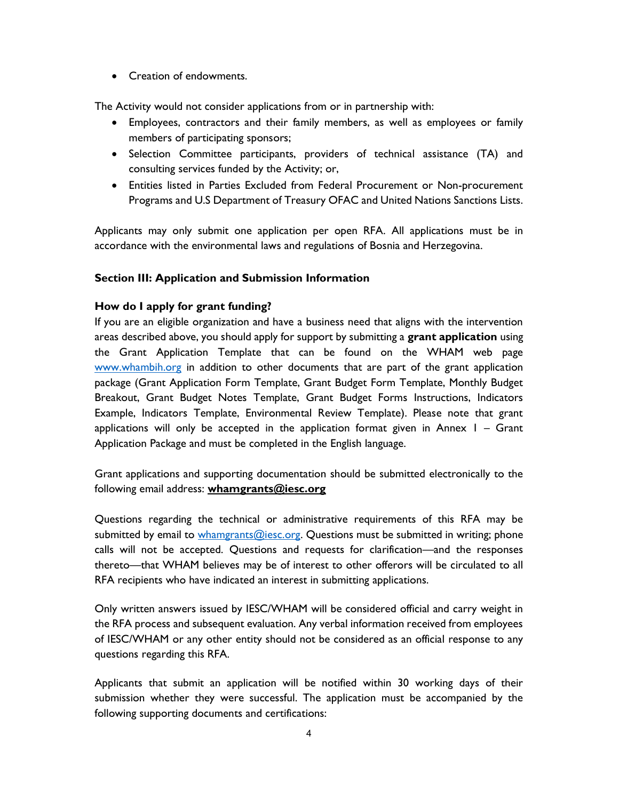**•** Creation of endowments.

The Activity would not consider applications from or in partnership with:

- Employees, contractors and their family members, as well as employees or family members of participating sponsors;
- Selection Committee participants, providers of technical assistance (TA) and consulting services funded by the Activity; or,
- Entities listed in Parties Excluded from Federal Procurement or Non-procurement Programs and U.S Department of Treasury OFAC and United Nations Sanctions Lists.

Applicants may only submit one application per open RFA. All applications must be in accordance with the environmental laws and regulations of Bosnia and Herzegovina.

## Section III: Application and Submission Information

#### How do I apply for grant funding?

If you are an eligible organization and have a business need that aligns with the intervention areas described above, you should apply for support by submitting a grant application using the Grant Application Template that can be found on the WHAM web page www.whambih.org in addition to other documents that are part of the grant application package (Grant Application Form Template, Grant Budget Form Template, Monthly Budget Breakout, Grant Budget Notes Template, Grant Budget Forms Instructions, Indicators Example, Indicators Template, Environmental Review Template). Please note that grant applications will only be accepted in the application format given in Annex 1 – Grant Application Package and must be completed in the English language.

Grant applications and supporting documentation should be submitted electronically to the following email address: whamgrants@iesc.org

Questions regarding the technical or administrative requirements of this RFA may be submitted by email to whamgrants@iesc.org. Questions must be submitted in writing; phone calls will not be accepted. Questions and requests for clarification—and the responses thereto—that WHAM believes may be of interest to other offerors will be circulated to all RFA recipients who have indicated an interest in submitting applications.

Only written answers issued by IESC/WHAM will be considered official and carry weight in the RFA process and subsequent evaluation. Any verbal information received from employees of IESC/WHAM or any other entity should not be considered as an official response to any questions regarding this RFA.

Applicants that submit an application will be notified within 30 working days of their submission whether they were successful. The application must be accompanied by the following supporting documents and certifications: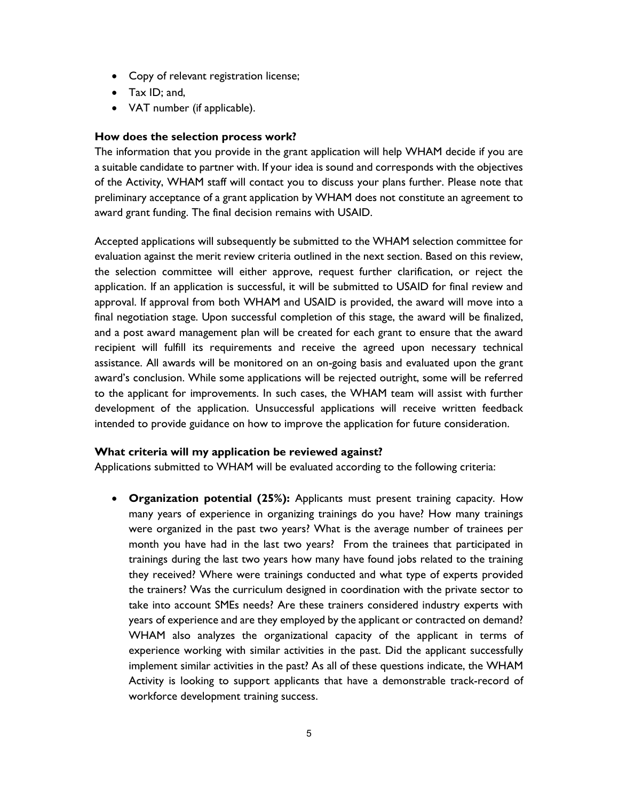- Copy of relevant registration license;
- Tax ID; and,
- VAT number (if applicable).

#### How does the selection process work?

The information that you provide in the grant application will help WHAM decide if you are a suitable candidate to partner with. If your idea is sound and corresponds with the objectives of the Activity, WHAM staff will contact you to discuss your plans further. Please note that preliminary acceptance of a grant application by WHAM does not constitute an agreement to award grant funding. The final decision remains with USAID.

Accepted applications will subsequently be submitted to the WHAM selection committee for evaluation against the merit review criteria outlined in the next section. Based on this review, the selection committee will either approve, request further clarification, or reject the application. If an application is successful, it will be submitted to USAID for final review and approval. If approval from both WHAM and USAID is provided, the award will move into a final negotiation stage. Upon successful completion of this stage, the award will be finalized, and a post award management plan will be created for each grant to ensure that the award recipient will fulfill its requirements and receive the agreed upon necessary technical assistance. All awards will be monitored on an on-going basis and evaluated upon the grant award's conclusion. While some applications will be rejected outright, some will be referred to the applicant for improvements. In such cases, the WHAM team will assist with further development of the application. Unsuccessful applications will receive written feedback intended to provide guidance on how to improve the application for future consideration.

#### What criteria will my application be reviewed against?

Applications submitted to WHAM will be evaluated according to the following criteria:

 Organization potential (25%): Applicants must present training capacity. How many years of experience in organizing trainings do you have? How many trainings were organized in the past two years? What is the average number of trainees per month you have had in the last two years? From the trainees that participated in trainings during the last two years how many have found jobs related to the training they received? Where were trainings conducted and what type of experts provided the trainers? Was the curriculum designed in coordination with the private sector to take into account SMEs needs? Are these trainers considered industry experts with years of experience and are they employed by the applicant or contracted on demand? WHAM also analyzes the organizational capacity of the applicant in terms of experience working with similar activities in the past. Did the applicant successfully implement similar activities in the past? As all of these questions indicate, the WHAM Activity is looking to support applicants that have a demonstrable track-record of workforce development training success.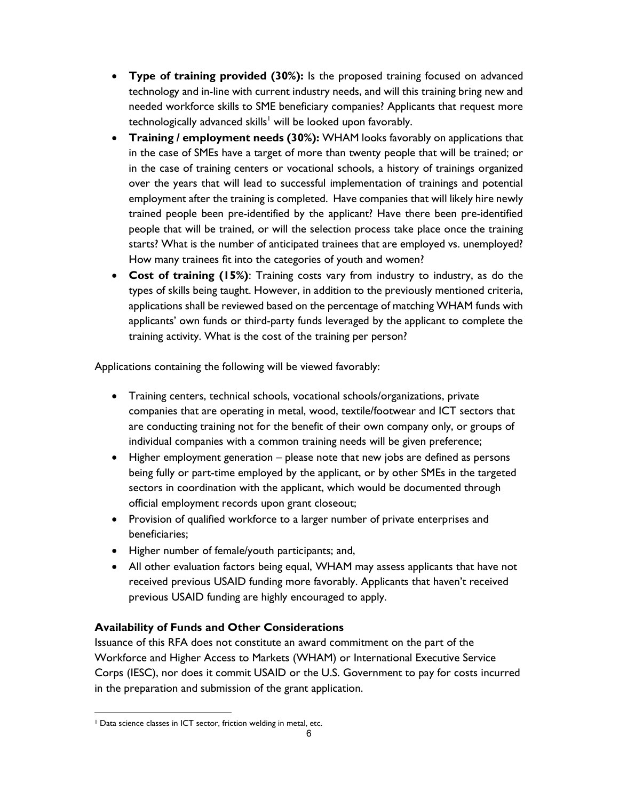- Type of training provided (30%): Is the proposed training focused on advanced technology and in-line with current industry needs, and will this training bring new and needed workforce skills to SME beneficiary companies? Applicants that request more technologically advanced skills<sup>1</sup> will be looked upon favorably.
- Training / employment needs (30%): WHAM looks favorably on applications that in the case of SMEs have a target of more than twenty people that will be trained; or in the case of training centers or vocational schools, a history of trainings organized over the years that will lead to successful implementation of trainings and potential employment after the training is completed. Have companies that will likely hire newly trained people been pre-identified by the applicant? Have there been pre-identified people that will be trained, or will the selection process take place once the training starts? What is the number of anticipated trainees that are employed vs. unemployed? How many trainees fit into the categories of youth and women?
- Cost of training (15%): Training costs vary from industry to industry, as do the types of skills being taught. However, in addition to the previously mentioned criteria, applications shall be reviewed based on the percentage of matching WHAM funds with applicants' own funds or third-party funds leveraged by the applicant to complete the training activity. What is the cost of the training per person?

Applications containing the following will be viewed favorably:

- Training centers, technical schools, vocational schools/organizations, private companies that are operating in metal, wood, textile/footwear and ICT sectors that are conducting training not for the benefit of their own company only, or groups of individual companies with a common training needs will be given preference;
- Higher employment generation please note that new jobs are defined as persons being fully or part-time employed by the applicant, or by other SMEs in the targeted sectors in coordination with the applicant, which would be documented through official employment records upon grant closeout;
- Provision of qualified workforce to a larger number of private enterprises and beneficiaries;
- Higher number of female/youth participants; and,
- All other evaluation factors being equal, WHAM may assess applicants that have not received previous USAID funding more favorably. Applicants that haven't received previous USAID funding are highly encouraged to apply.

# Availability of Funds and Other Considerations

Issuance of this RFA does not constitute an award commitment on the part of the Workforce and Higher Access to Markets (WHAM) or International Executive Service Corps (IESC), nor does it commit USAID or the U.S. Government to pay for costs incurred in the preparation and submission of the grant application.

<sup>&</sup>lt;sup>1</sup> Data science classes in ICT sector, friction welding in metal, etc.